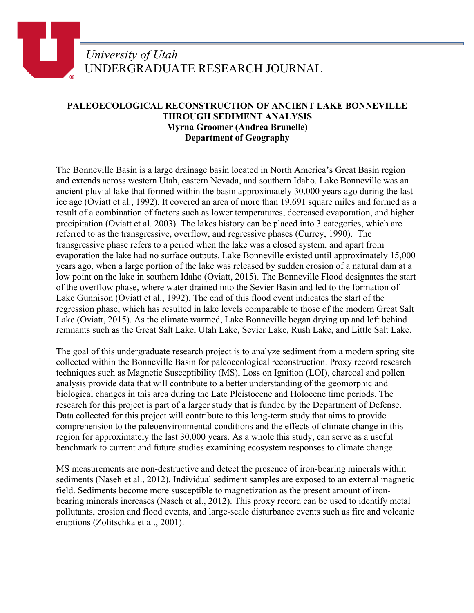## *University of Utah* UNDERGRADUATE RESEARCH JOURNAL

## **PALEOECOLOGICAL RECONSTRUCTION OF ANCIENT LAKE BONNEVILLE THROUGH SEDIMENT ANALYSIS Myrna Groomer (Andrea Brunelle) Department of Geography**

The Bonneville Basin is a large drainage basin located in North America's Great Basin region and extends across western Utah, eastern Nevada, and southern Idaho. Lake Bonneville was an ancient pluvial lake that formed within the basin approximately 30,000 years ago during the last ice age (Oviatt et al., 1992). It covered an area of more than 19,691 square miles and formed as a result of a combination of factors such as lower temperatures, decreased evaporation, and higher precipitation (Oviatt et al. 2003). The lakes history can be placed into 3 categories, which are referred to as the transgressive, overflow, and regressive phases (Currey, 1990). The transgressive phase refers to a period when the lake was a closed system, and apart from evaporation the lake had no surface outputs. Lake Bonneville existed until approximately 15,000 years ago, when a large portion of the lake was released by sudden erosion of a natural dam at a low point on the lake in southern Idaho (Oviatt, 2015). The Bonneville Flood designates the start of the overflow phase, where water drained into the Sevier Basin and led to the formation of Lake Gunnison (Oviatt et al., 1992). The end of this flood event indicates the start of the regression phase, which has resulted in lake levels comparable to those of the modern Great Salt Lake (Oviatt, 2015). As the climate warmed, Lake Bonneville began drying up and left behind remnants such as the Great Salt Lake, Utah Lake, Sevier Lake, Rush Lake, and Little Salt Lake.

The goal of this undergraduate research project is to analyze sediment from a modern spring site collected within the Bonneville Basin for paleoecological reconstruction. Proxy record research techniques such as Magnetic Susceptibility (MS), Loss on Ignition (LOI), charcoal and pollen analysis provide data that will contribute to a better understanding of the geomorphic and biological changes in this area during the Late Pleistocene and Holocene time periods. The research for this project is part of a larger study that is funded by the Department of Defense. Data collected for this project will contribute to this long-term study that aims to provide comprehension to the paleoenvironmental conditions and the effects of climate change in this region for approximately the last 30,000 years. As a whole this study, can serve as a useful benchmark to current and future studies examining ecosystem responses to climate change.

MS measurements are non-destructive and detect the presence of iron-bearing minerals within sediments (Naseh et al., 2012). Individual sediment samples are exposed to an external magnetic field. Sediments become more susceptible to magnetization as the present amount of ironbearing minerals increases (Naseh et al., 2012). This proxy record can be used to identify metal pollutants, erosion and flood events, and large-scale disturbance events such as fire and volcanic eruptions (Zolitschka et al., 2001).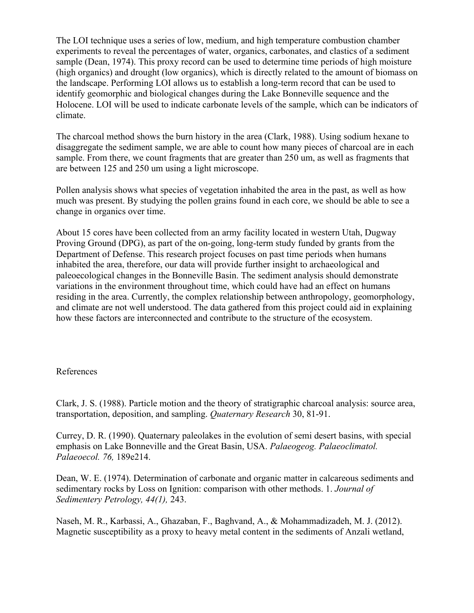The LOI technique uses a series of low, medium, and high temperature combustion chamber experiments to reveal the percentages of water, organics, carbonates, and clastics of a sediment sample (Dean, 1974). This proxy record can be used to determine time periods of high moisture (high organics) and drought (low organics), which is directly related to the amount of biomass on the landscape. Performing LOI allows us to establish a long-term record that can be used to identify geomorphic and biological changes during the Lake Bonneville sequence and the Holocene. LOI will be used to indicate carbonate levels of the sample, which can be indicators of climate.

The charcoal method shows the burn history in the area (Clark, 1988). Using sodium hexane to disaggregate the sediment sample, we are able to count how many pieces of charcoal are in each sample. From there, we count fragments that are greater than 250 um, as well as fragments that are between 125 and 250 um using a light microscope.

Pollen analysis shows what species of vegetation inhabited the area in the past, as well as how much was present. By studying the pollen grains found in each core, we should be able to see a change in organics over time.

About 15 cores have been collected from an army facility located in western Utah, Dugway Proving Ground (DPG), as part of the on-going, long-term study funded by grants from the Department of Defense. This research project focuses on past time periods when humans inhabited the area, therefore, our data will provide further insight to archaeological and paleoecological changes in the Bonneville Basin. The sediment analysis should demonstrate variations in the environment throughout time, which could have had an effect on humans residing in the area. Currently, the complex relationship between anthropology, geomorphology, and climate are not well understood. The data gathered from this project could aid in explaining how these factors are interconnected and contribute to the structure of the ecosystem.

## References

Clark, J. S. (1988). Particle motion and the theory of stratigraphic charcoal analysis: source area, transportation, deposition, and sampling. *Quaternary Research* 30, 81-91.

Currey, D. R. (1990). Quaternary paleolakes in the evolution of semi desert basins, with special emphasis on Lake Bonneville and the Great Basin, USA. *Palaeogeog. Palaeoclimatol. Palaeoecol. 76,* 189e214.

Dean, W. E. (1974). Determination of carbonate and organic matter in calcareous sediments and sedimentary rocks by Loss on Ignition: comparison with other methods. 1. *Journal of Sedimentery Petrology, 44(1),* 243.

Naseh, M. R., Karbassi, A., Ghazaban, F., Baghvand, A., & Mohammadizadeh, M. J. (2012). Magnetic susceptibility as a proxy to heavy metal content in the sediments of Anzali wetland,